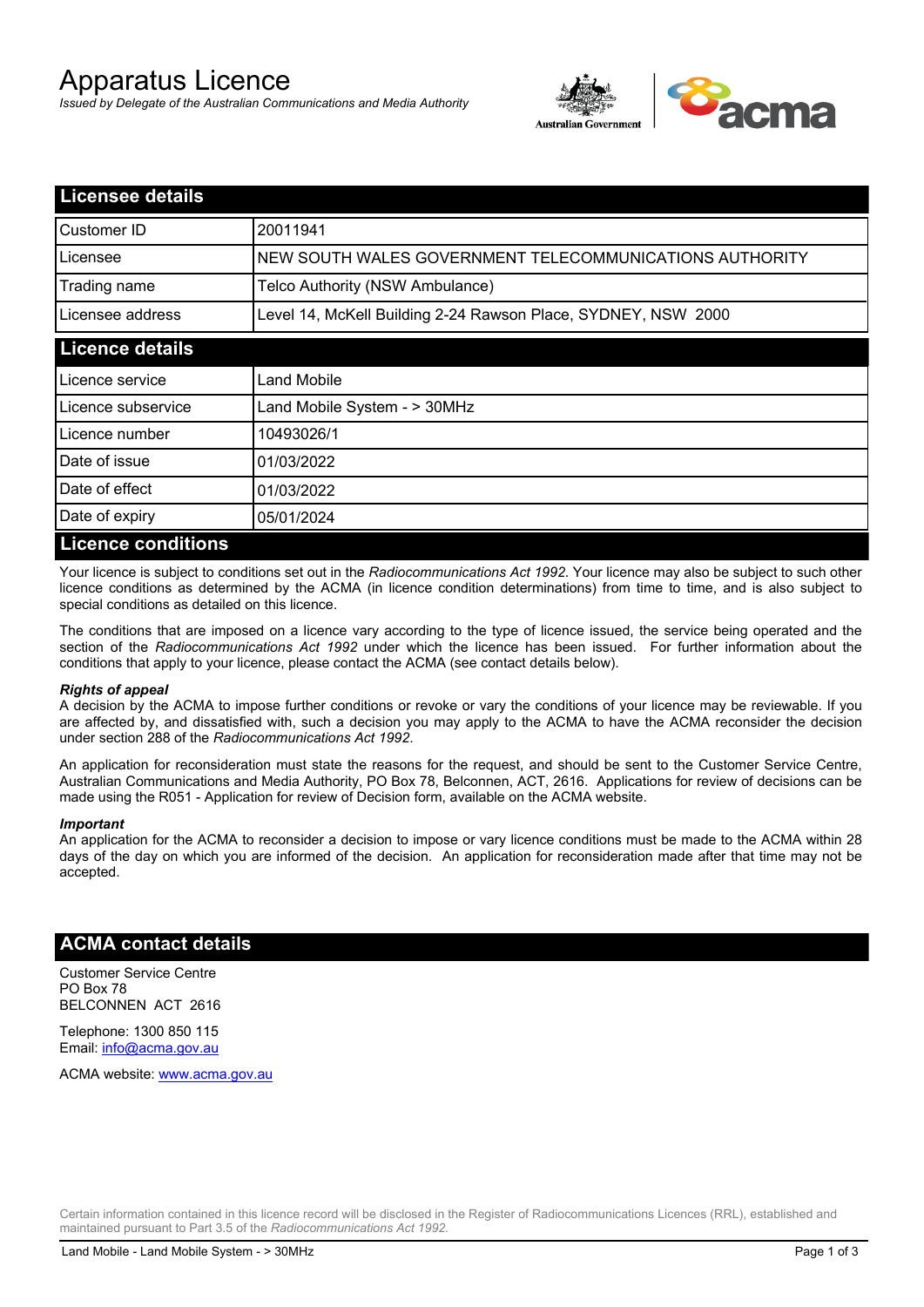# Apparatus Licence

*Issued by Delegate of the Australian Communications and Media Authority*



| <b>Licensee details</b>   |                                                               |
|---------------------------|---------------------------------------------------------------|
| Customer ID               | 20011941                                                      |
| Licensee                  | NEW SOUTH WALES GOVERNMENT TELECOMMUNICATIONS AUTHORITY       |
| Trading name              | Telco Authority (NSW Ambulance)                               |
| Licensee address          | Level 14, McKell Building 2-24 Rawson Place, SYDNEY, NSW 2000 |
| <b>Licence details</b>    |                                                               |
| l Licence service         | <b>Land Mobile</b>                                            |
| Licence subservice        | Land Mobile System - > 30MHz                                  |
| Licence number            | 10493026/1                                                    |
| Date of issue             | 01/03/2022                                                    |
| Date of effect            | 01/03/2022                                                    |
| Date of expiry            | 05/01/2024                                                    |
| <b>Licence conditions</b> |                                                               |

Your licence is subject to conditions set out in the *Radiocommunications Act 1992*. Your licence may also be subject to such other licence conditions as determined by the ACMA (in licence condition determinations) from time to time, and is also subject to special conditions as detailed on this licence.

The conditions that are imposed on a licence vary according to the type of licence issued, the service being operated and the section of the *Radiocommunications Act 1992* under which the licence has been issued. For further information about the conditions that apply to your licence, please contact the ACMA (see contact details below).

#### *Rights of appeal*

A decision by the ACMA to impose further conditions or revoke or vary the conditions of your licence may be reviewable. If you are affected by, and dissatisfied with, such a decision you may apply to the ACMA to have the ACMA reconsider the decision under section 288 of the *Radiocommunications Act 1992*.

An application for reconsideration must state the reasons for the request, and should be sent to the Customer Service Centre, Australian Communications and Media Authority, PO Box 78, Belconnen, ACT, 2616. Applications for review of decisions can be made using the R051 - Application for review of Decision form, available on the ACMA website.

#### *Important*

An application for the ACMA to reconsider a decision to impose or vary licence conditions must be made to the ACMA within 28 days of the day on which you are informed of the decision. An application for reconsideration made after that time may not be accepted.

### **ACMA contact details**

Customer Service Centre PO Box 78 BELCONNEN ACT 2616

Telephone: 1300 850 115 Email: info@acma.gov.au

ACMA website: www.acma.gov.au

Certain information contained in this licence record will be disclosed in the Register of Radiocommunications Licences (RRL), established and maintained pursuant to Part 3.5 of the *Radiocommunications Act 1992.*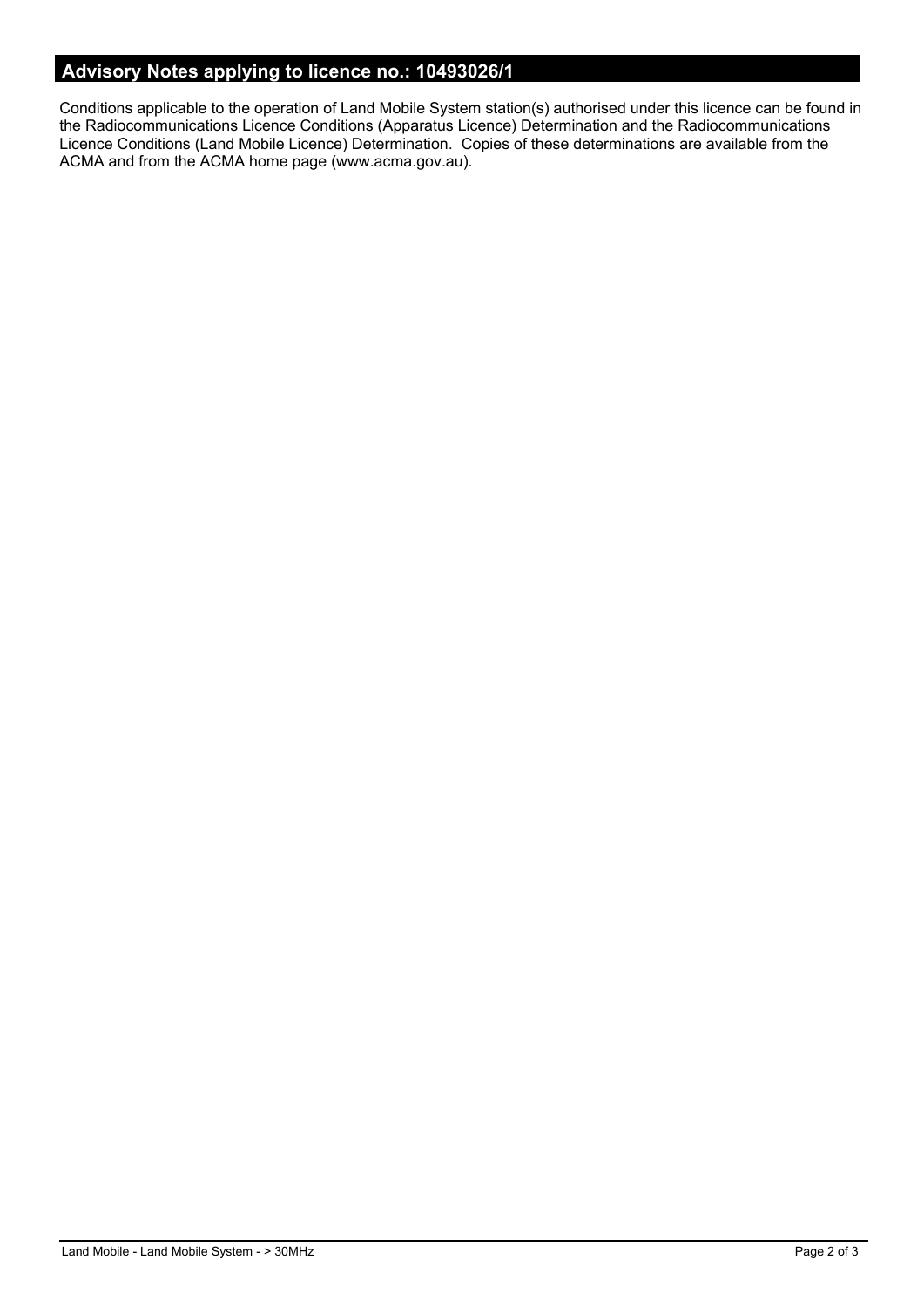# **Advisory Notes applying to licence no.: 10493026/1**

Conditions applicable to the operation of Land Mobile System station(s) authorised under this licence can be found in the Radiocommunications Licence Conditions (Apparatus Licence) Determination and the Radiocommunications Licence Conditions (Land Mobile Licence) Determination. Copies of these determinations are available from the ACMA and from the ACMA home page (www.acma.gov.au).